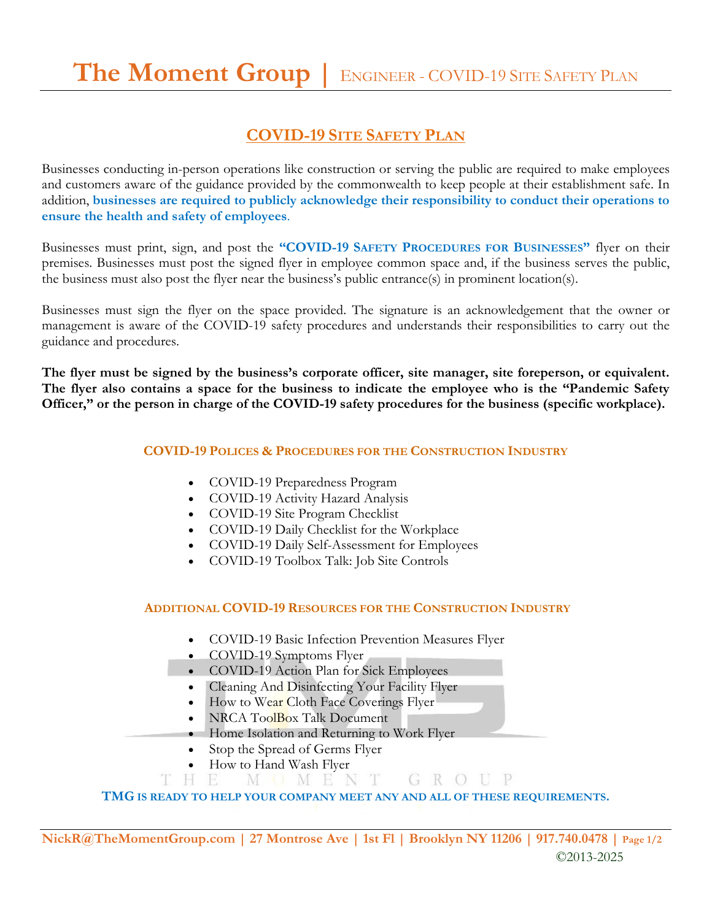## **COVID-19 SITE SAFETY PLAN**

Businesses conducting in-person operations like construction or serving the public are required to make employees and customers aware of the guidance provided by the commonwealth to keep people at their establishment safe. In addition, **businesses are required to publicly acknowledge their responsibility to conduct their operations to ensure the health and safety of employees**.

Businesses must print, sign, and post the **"COVID-19 SAFETY PROCEDURES FOR BUSINESSES"** flyer on their premises. Businesses must post the signed flyer in employee common space and, if the business serves the public, the business must also post the flyer near the business's public entrance(s) in prominent location(s).

Businesses must sign the flyer on the space provided. The signature is an acknowledgement that the owner or management is aware of the COVID-19 safety procedures and understands their responsibilities to carry out the guidance and procedures.

**The flyer must be signed by the business's corporate officer, site manager, site foreperson, or equivalent. The flyer also contains a space for the business to indicate the employee who is the "Pandemic Safety Officer," or the person in charge of the COVID-19 safety procedures for the business (specific workplace).**

#### **COVID-19 POLICES & PROCEDURES FOR THE CONSTRUCTION INDUSTRY**

- COVID-19 Preparedness Program
- COVID-19 Activity Hazard Analysis
- COVID-19 Site Program Checklist
- COVID-19 Daily Checklist for the Workplace
- COVID-19 Daily Self-Assessment for Employees
- COVID-19 Toolbox Talk: Job Site Controls

#### **ADDITIONAL COVID-19 RESOURCES FOR THE CONSTRUCTION INDUSTRY**

- COVID-19 Basic Infection Prevention Measures Flyer
- COVID-19 Symptoms Flyer
- COVID-19 Action Plan for Sick Employees
- Cleaning And Disinfecting Your Facility Flyer
- How to Wear Cloth Face Coverings Flyer
- NRCA ToolBox Talk Document
- Home Isolation and Returning to Work Flyer
- Stop the Spread of Germs Flyer
- How to Hand Wash Flyer
- H E MOMENT GROUP

### **TMG IS READY TO HELP YOUR COMPANY MEET ANY AND ALL OF THESE REQUIREMENTS.**